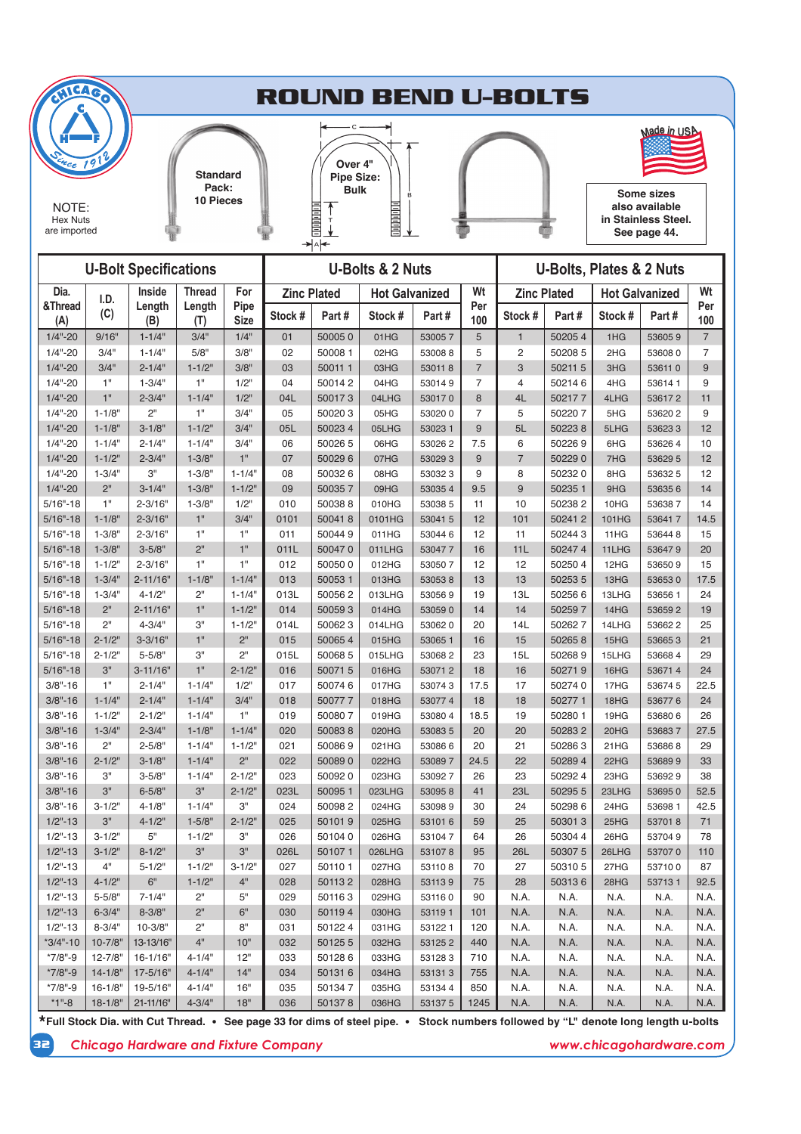

| <b>U-Bolt Specifications</b><br><b>U-Bolts &amp; 2 Nuts</b> |                            |                      |                          |                     |                    | <b>U-Bolts, Plates &amp; 2 Nuts</b> |                       |                  |                |                    |              |              |                       |                |
|-------------------------------------------------------------|----------------------------|----------------------|--------------------------|---------------------|--------------------|-------------------------------------|-----------------------|------------------|----------------|--------------------|--------------|--------------|-----------------------|----------------|
| Dia.                                                        | I.D.                       | Inside               | <b>Thread</b>            | For                 | <b>Zinc Plated</b> |                                     | <b>Hot Galvanized</b> |                  | Wt             | <b>Zinc Plated</b> |              |              | <b>Hot Galvanized</b> | Wt             |
| &Thread<br>(A)                                              | (C)                        | Length<br>(B)        | Length<br>(T)            | Pipe<br><b>Size</b> | Stock #            | Part#                               | Stock #               | Part#            | Per<br>100     | Stock#             | Part#        | Stock #      | Part#                 | Per<br>100     |
| $1/4" - 20$                                                 | 9/16"                      | $1 - 1/4"$           | 3/4"                     | 1/4"                | 01                 | 500050                              | 01HG                  | 530057           | 5              | $\mathbf{1}$       | 502054       | 1HG          | 536059                | $\overline{7}$ |
| $1/4" - 20$                                                 | 3/4"                       | $1 - 1/4"$           | 5/8"                     | 3/8"                | 02                 | 50008 1                             | 02HG                  | 530088           | 5              | $\overline{c}$     | 502085       | 2HG          | 536080                | $\overline{7}$ |
| $1/4" - 20$                                                 | 3/4"                       | $2 - 1/4"$           | $1 - 1/2"$               | 3/8"                | 03                 | 500111                              | 03HG                  | 530118           | $\overline{7}$ | 3                  | 502115       | 3HG          | 536110                | 9              |
| $1/4" - 20$                                                 | 1"                         | $1 - 3/4"$           | 1"                       | 1/2"                | 04                 | 500142                              | 04HG                  | 530149           | $\overline{7}$ | 4                  | 502146       | 4HG          | 536141                | 9              |
| $1/4 - 20$                                                  | 1"                         | $2 - 3/4"$           | $1 - 1/4"$               | $1/2$ "             | 04L                | 500173                              | 04LHG                 | 530170           | 8              | 4L                 | 502177       | 4LHG         | 536172                | 11             |
| $1/4" - 20$                                                 | $1 - 1/8"$                 | 2"                   | 1"                       | 3/4"                | 05                 | 500203                              | 05HG                  | 530200           | $\overline{7}$ | 5                  | 502207       | 5HG          | 536202                | 9              |
| $1/4" - 20$                                                 | $1 - 1/8"$                 | $3 - 1/8"$           | $1 - 1/2"$               | 3/4"                | 05L                | 500234                              | 05LHG                 | 53023 1          | $9\,$          | 5L                 | 502238       | 5LHG         | 536233                | 12             |
| $1/4" - 20$                                                 | $1 - 1/4"$                 | $2 - 1/4"$           | $1 - 1/4"$               | 3/4"                | 06                 | 50026 5                             | 06HG                  | 530262           | 7.5            | 6                  | 502269       | 6HG          | 536264                | 10             |
| $1/4" - 20$                                                 | $1 - 1/2"$                 | $2 - 3/4"$           | $1 - 3/8"$               | 1"                  | 07                 | 500296                              | 07HG                  | 530293           | 9              | $\overline{7}$     | 502290       | 7HG          | 53629 5               | 12             |
| $1/4" - 20$                                                 | $1 - 3/4"$                 | 3"                   | $1 - 3/8"$               | $1 - 1/4"$          | 08                 | 500326                              | 08HG                  | 530323           | 9              | 8                  | 502320       | 8HG          | 536325                | 12             |
| $1/4" - 20$                                                 | 2"                         | $3 - 1/4"$           | $1 - 3/8"$               | $1 - 1/2"$          | 09                 | 500357                              | 09HG                  | 530354           | 9.5            | 9                  | 50235 1      | 9HG          | 536356                | 14             |
| $5/16" - 18$                                                | 1"                         | $2 - 3/16"$          | $1 - 3/8"$               | 1/2"                | 010                | 500388                              | 010HG                 | 53038 5          | 11             | 10                 | 502382       | 10HG         | 536387                | 14             |
| $5/16" - 18$                                                | $1 - 1/8"$                 | $2 - 3/16"$          | 1"                       | 3/4"                | 0101               | 500418                              | 0101HG                | 53041 5          | 12             | 101                | 502412       | 101HG        | 536417                | 14.5           |
| $5/16" - 18$                                                | $1 - 3/8"$                 | $2 - 3/16"$          | 1"                       | 1"                  | 011                | 500449                              | 011HG                 | 530446           | 12             | 11                 | 502443       | 11HG         | 536448                | 15             |
| $5/16" - 18$                                                | $1 - 3/8"$                 | $3 - 5/8"$           | 2 <sup>11</sup>          | 1"                  | 011L               | 500470                              | 011LHG                | 530477           | 16             | 11L                | 502474       | 11LHG        | 536479                | 20             |
| $5/16" - 18$                                                | $1 - 1/2"$                 | $2 - 3/16"$          | 1"                       | 1"                  | 012                | 500500                              | 012HG                 | 530507           | 12             | 12                 | 502504       | 12HG         | 536509                | 15             |
| $5/16" - 18$                                                | $1 - 3/4"$                 | 2-11/16"             | $1 - 1/8"$               | $1 - 1/4"$          | 013                | 500531                              | 013HG                 | 530538           | 13             | 13                 | 502535       | 13HG         | 536530                | 17.5           |
| $5/16" - 18$                                                | $1 - 3/4"$                 | $4 - 1/2"$           | 2"                       | $1 - 1/4"$          | 013L               | 500562                              | 013LHG                | 530569           | 19             | 13L                | 502566       | 13LHG        | 536561                | 24             |
| $5/16" - 18$                                                | 2"                         | $2 - 11/16"$         | 1"                       | $1 - 1/2$ "         | 014                | 500593                              | 014HG                 | 530590           | 14             | 14                 | 502597       | 14HG         | 536592                | 19             |
| $5/16" - 18$                                                | 2"                         | $4 - 3/4"$           | 3"                       | $1 - 1/2"$          | 014L               | 500623                              | 014LHG                | 530620           | 20             | 14L                | 502627       | 14LHG        | 536622                | 25             |
| $5/16" - 18$                                                | $2 - 1/2"$                 | $3 - 3/16"$          | 1"                       | 2"                  | 015                | 500654                              | 015HG                 | 53065 1          | 16             | 15                 | 502658       | 15HG         | 536653                | 21             |
| $5/16" - 18$                                                | $2 - 1/2"$                 | $5 - 5/8"$           | 3"                       | 2"                  | 015L               | 500685                              | 015LHG                | 530682           | 23             | 15L                | 502689       | 15LHG        | 536684                | 29             |
| $5/16" - 18$                                                | 3"                         | $3 - 11/16"$         | 1"                       | $2 - 1/2"$          | 016                | 500715                              | 016HG                 | 530712           | 18             | 16                 | 502719       | 16HG         | 536714                | 24             |
| $3/8" - 16$                                                 | 1"                         | $2 - 1/4"$           | $1 - 1/4"$               | 1/2"                | 017                | 500746                              | 017HG                 | 530743           | 17.5           | 17                 | 502740       | 17HG         | 536745                | 22.5           |
| $3/8" - 16$                                                 | $1 - 1/4"$                 | $2 - 1/4"$           | $1 - 1/4"$               | 3/4"                | 018                | 500777                              | 018HG                 | 530774           | 18             | 18                 | 502771       | 18HG         | 536776                | 24             |
| $3/8" - 16$                                                 | $1 - 1/2"$                 | $2 - 1/2"$           | $1 - 1/4"$               | 1"                  | 019                | 500807                              | 019HG                 | 53080 4          | 18.5           | 19                 | 50280 1      | 19HG         | 536806                | 26             |
| $3/8" - 16$                                                 | $1 - 3/4"$                 | $2 - 3/4"$           | $1 - 1/8"$               | $1 - 1/4"$          | 020                | 500838                              | 020HG                 | 530835           | 20             | 20                 | 502832       | 20HG         | 536837                | 27.5           |
| $3/8" - 16$                                                 | 2"                         | $2 - 5/8"$           | $1 - 1/4"$               | $1 - 1/2"$          | 021                | 500869                              | 021HG                 | 530866           | 20             | 21                 | 502863       | 21HG         | 536868                | 29             |
| $3/8" - 16$                                                 | $2 - 1/2"$                 | $3 - 1/8"$           | $1 - 1/4"$               | 2 <sup>n</sup>      | 022                | 500890                              | 022HG                 | 530897           | 24.5           | 22                 | 502894       | 22HG         | 536899                | 33             |
| $3/8" - 16$                                                 | 3"                         | $3 - 5/8"$           | $1 - 1/4"$               | $2 - 1/2"$          | 023                | 500920                              | 023HG                 | 530927           | 26             | 23                 | 502924       | 23HG         | 536929                | 38             |
| $3/8" - 16$                                                 | 3"                         | $6 - 5/8"$           | 3"                       | $2 - 1/2"$          | 023L               | 500951                              | 023LHG                | 530958           | 41             | 23L                | 502955       | 23LHG        | 536950                | 52.5           |
| $3/8" - 16$                                                 | $3 - 1/2"$                 | 4-1/8"               | $1 - 1/4"$               | 3"                  | 024                | 500982                              | 024HG                 | 530989           | 30             | 24                 | 502986       | 24HG         | 53698 1               | 42.5           |
| $1/2" - 13$                                                 | 3"                         | $4 - 1/2"$           | $1 - 5/8"$               | $2 - 1/2"$          | 025                | 501019                              | 025HG                 | 531016           | 59             | 25                 | 503013       | 25HG         | 537018                | 71             |
| $1/2" - 13$                                                 | $3 - 1/2"$                 | 5"                   | $1 - 1/2"$               | 3"                  | 026                | 501040                              | 026HG                 | 531047           | 64             | 26                 | 50304 4      | 26HG         | 537049                | 78             |
| $1/2" - 13$                                                 | $3 - 1/2"$                 | $8 - 1/2"$           | 3"                       | 3"                  | 026L               | 501071                              | 026LHG                | 531078           | 95             | <b>26L</b>         | 503075       | 26LHG        | 537070                | 110            |
| 1/2"-13                                                     | 4"                         | 5-1/2"               | $1 - 1/2"$               | $3 - 1/2"$          | 02/                | 501101                              | 027HG                 | 531108           | 70             | 2/                 | 503105       | 27HG         | 53/100                | 87             |
| $1/2" - 13$                                                 | $4 - 1/2"$                 | 6"                   | $1 - 1/2"$               | 4"                  | 028                | 501132                              | 028HG                 | 531139           | 75             | 28                 | 503136       | 28HG         | 537131                | 92.5           |
| $1/2" - 13$                                                 | $5 - 5/8"$                 | $7 - 1/4"$           | 2"                       | 5"                  | 029                | 501163                              | 029HG                 | 531160           | 90             | N.A.               | N.A.         | N.A.         | N.A.                  | N.A.           |
| $1/2" - 13$                                                 | $6 - 3/4"$                 | $8 - 3/8"$           | 2"                       | $6"$                | 030                | 501194                              | 030HG                 | 531191           | 101            | N.A.               | N.A.         | N.A.         | N.A.                  | N.A.           |
| $1/2" - 13$                                                 | $8 - 3/4"$                 | $10 - 3/8"$          | 2"                       | 8"                  | 031                | 501224                              | 031HG                 | 531221           | 120            | N.A.               | N.A.         | N.A.         | N.A.                  | N.A.           |
| $*3/4" - 10$                                                | 10-7/8"                    | 13-13/16"            | 4"                       | 10"                 | 032                | 501255                              | 032HG                 | 531252           | 440            | N.A.               | N.A.         | N.A.         | N.A.                  | N.A.           |
| $*7/8" - 9$<br>$*7/8" - 9$                                  | 12-7/8"                    | 16-1/16"             | $4 - 1/4"$               | 12"<br>14"          | 033<br>034         | 501286                              | 033HG                 | 531283           | 710            | N.A.<br>N.A.       | N.A.<br>N.A. | N.A.         | N.A.                  | N.A.           |
| *7/8"-9                                                     | $14 - 1/8"$<br>$16 - 1/8"$ | 17-5/16"<br>19-5/16" | $4 - 1/4"$<br>$4 - 1/4"$ | 16"                 | 035                | 501316<br>501347                    | 034HG<br>035HG        | 531313<br>531344 | 755<br>850     | N.A.               | N.A.         | N.A.<br>N.A. | N.A.                  | N.A.<br>N.A.   |
| $*1" - 8$                                                   | $18 - 1/8"$                | 21-11/16"            | $4 - 3/4"$               | 18"                 | 036                |                                     |                       | 531375           |                |                    |              |              | N.A.                  | N.A.           |
|                                                             |                            |                      |                          |                     |                    | 501378                              | 036HG                 |                  | 1245           | N.A.               | N.A.         | N.A.         | N.A.                  |                |

**\*Full Stock Dia. with Cut Thread. See page 33 for dims of steel pipe. Stock numbers followed by "L" denote long length u-bolts** 

**32** *Chicago Hardware and Fixture Company www.chicagohardware.com*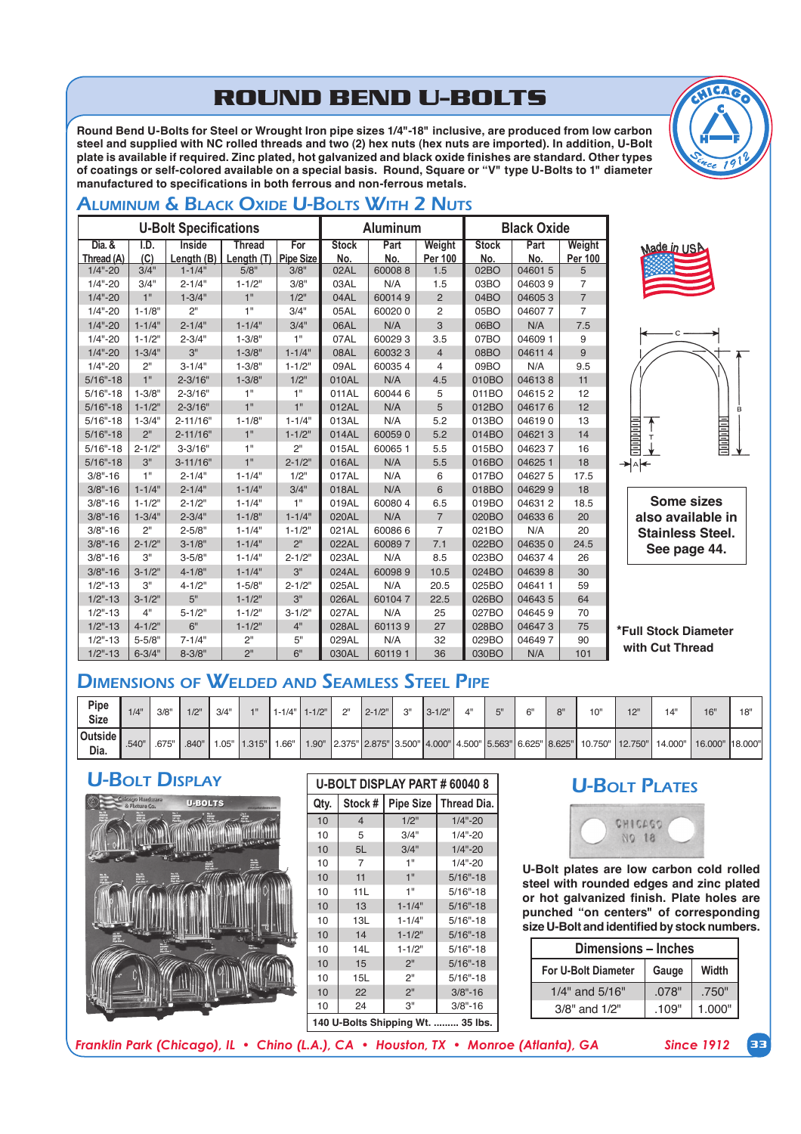# **ROUND BEND U-BOLTS**

Round Bend U-Bolts for Steel or Wrought Iron pipe sizes 1/4"-18" inclusive, are produced from low carbon steel and supplied with NC rolled threads and two (2) hex nuts (hex nuts are imported). In addition, U-Bolt plate is available if required. Zinc plated, hot galvanized and black oxide finishes are standard. Other types of coatings or self-colored available on a special basis. Round, Square or "V" type U-Bolts to 1" diameter manufactured to specifications in both ferrous and non-ferrous metals.

# ALUMINUM & BLACK OXIDE U-BOLTS WITH 2 NUTS

| <b>U-Bolt Specifications</b><br><b>Aluminum</b><br><b>Black Oxide</b><br>Dia. &<br>I.D.<br><b>Inside</b><br><b>Thread</b><br><b>Stock</b><br>For<br>Part<br>Weight<br><b>Stock</b><br>Part<br>Weight<br>(C)<br>Length $(B)$<br><b>Pipe Size</b><br>No.<br>No.<br>No.<br>Thread (A)<br>Length (T)<br><b>Per 100</b><br>No.<br>Per 100<br>3/4"<br>$1 - 1/4"$<br>5/8"<br>3/8"<br>02AL<br>600088<br>046015<br>$1/4" - 20$<br>02BO<br>5<br>1.5<br>$1/4" - 20$<br>3/4"<br>3/8"<br>$\overline{7}$<br>$2 - 1/4"$<br>$1 - 1/2"$<br>03AL<br>N/A<br>1.5<br>03BO<br>046039<br>1"<br>1"<br>$\overline{7}$<br>$1/4" - 20$<br>$1 - 3/4"$<br>1/2"<br>04AL<br>600149<br>$\overline{2}$<br>04BO<br>046053<br>2"<br>1"<br>$1/4" - 20$<br>$1 - 1/8"$<br>3/4"<br>05AL<br>600200<br>2<br>05BO<br>046077<br>$\overline{7}$<br>3<br>7.5<br>$1 - 1/4"$<br>$2 - 1/4"$<br>$1 - 1/4"$<br>3/4"<br>06AL<br>N/A<br>06BO<br>N/A<br>$1/4" - 20$<br>1"<br>$1/4" - 20$<br>$1 - 1/2"$<br>600293<br>07BO<br>04609 1<br>9<br>$2 - 3/4"$<br>$1 - 3/8"$<br>07AL<br>3.5<br>3"<br>08AL<br>$1/4" - 20$<br>$1 - 3/4"$<br>$1 - 3/8"$<br>$1 - 1/4"$<br>600323<br>08BO<br>046114<br>9<br>$\overline{4}$<br>2 <sup>n</sup><br>$1/4" - 20$<br>$1 - 3/8"$<br>09AL<br>600354<br>09BO<br>N/A<br>9.5<br>$3 - 1/4"$<br>$1 - 1/2"$<br>4<br>1"<br>$5/16" - 18$<br>$2 - 3/16"$<br>$1 - 3/8"$<br>$1/2$ "<br>N/A<br>4.5<br>010BO<br>046138<br>11<br>010AL<br>1"<br>1"<br>600446<br>$5/16" - 18$<br>$1 - 3/8"$<br>$2 - 3/16"$<br>011AL<br>5<br>011BO<br>046152<br>12<br>1"<br>1"<br>$5/16" - 18$<br>$1 - 1/2"$<br>$2 - 3/16"$<br>012AL<br>N/A<br>5<br>012BO<br>046176<br>12<br>N/A<br>5.2<br>$5/16" - 18$<br>$1 - 3/4"$<br>$2 - 11/16"$<br>$1 - 1/8"$<br>$1 - 1/4"$<br>013AL<br>013BO<br>046190<br>13<br>2 <sup>11</sup><br>1"<br>5.2<br>14<br>$5/16" - 18$<br>$2 - 11/16"$<br>$1 - 1/2"$<br>014AL<br>600590<br>014BO<br>046213<br>1"<br>2"<br>$5/16" - 18$<br>$2 - 1/2"$<br>$3 - 3/16"$<br>015AL<br>60065 1<br>5.5<br>015BO<br>046237<br>16<br>3"<br>1"<br>N/A<br>18<br>$5/16" - 18$<br>$2 - 1/2"$<br>016AL<br>5.5<br>016BO<br>046251<br>$3 - 11/16"$<br>1"<br>N/A<br>$3/8" - 16$<br>$2 - 1/4"$<br>$1 - 1/4"$<br>1/2"<br>017BO<br>046275<br>17.5<br>017AL<br>6<br>N/A<br>$3/8" - 16$<br>$1 - 1/4"$<br>$2 - 1/4"$<br>$1 - 1/4"$<br>3/4"<br>018AL<br>6<br>018BO<br>046299<br>18<br>1"<br>$3/8" - 16$<br>$1 - 1/2"$<br>$2 - 1/2"$<br>$1 - 1/4"$<br>019AL<br>600804<br>6.5<br>019BO<br>046312<br>18.5<br>$3/8" - 16$<br>$1 - 3/4"$<br>$1 - 1/4"$<br>N/A<br>$\overline{7}$<br>20<br>$2 - 3/4"$<br>$1 - 1/8"$<br>020AL<br>020BO<br>046336<br>2 <sup>n</sup><br>$3/8" - 16$<br>$2 - 5/8"$<br>$1 - 1/4"$<br>$1 - 1/2"$<br>600866<br>$\overline{7}$<br>021BO<br>N/A<br>20<br>021AL<br>2"<br>$3/8" - 16$<br>$2 - 1/2"$<br>$3 - 1/8"$<br>$1 - 1/4"$<br>022AL<br>600897<br>7.1<br>022BO<br>046350<br>24.5<br>3"<br>$3/8" - 16$<br>$2 - 1/2"$<br>N/A<br>8.5<br>023BO<br>046374<br>26<br>$3 - 5/8"$<br>$1 - 1/4"$<br>023AL<br>3"<br>$3 - 1/2"$<br>$4 - 1/8"$<br>$1 - 1/4"$<br>10.5<br>024BO<br>046398<br>30<br>$3/8" - 16$<br>024AL<br>600989<br>3"<br>$2 - 1/2"$<br>N/A<br>20.5<br>025BO<br>046411<br>59<br>$1/2" - 13$<br>$4 - 1/2"$<br>$1 - 5/8"$<br>025AL<br>5"<br>3"<br>$3 - 1/2"$<br>22.5<br>026BO<br>64<br>$1/2" - 13$<br>$1 - 1/2"$<br>026AL<br>601047<br>046435<br>4"<br>$5 - 1/2"$<br>$3 - 1/2"$<br>N/A<br>$1/2" - 13$<br>$1 - 1/2"$<br>027AL<br>25<br>027BO<br>046459<br>70<br>6"<br>$4 - 1/2"$<br>601139<br>$1/2" - 13$<br>$1 - 1/2"$<br>4"<br>028AL<br>27<br>028BO<br>046473<br>75<br>2"<br>$5 - 5/8"$<br>5"<br>N/A<br>32<br>046497<br>90<br>$1/2" - 13$<br>$7 - 1/4"$<br>029AL<br>029BO |             |            |            |                 |    |       |        |    |       |     |     |
|------------------------------------------------------------------------------------------------------------------------------------------------------------------------------------------------------------------------------------------------------------------------------------------------------------------------------------------------------------------------------------------------------------------------------------------------------------------------------------------------------------------------------------------------------------------------------------------------------------------------------------------------------------------------------------------------------------------------------------------------------------------------------------------------------------------------------------------------------------------------------------------------------------------------------------------------------------------------------------------------------------------------------------------------------------------------------------------------------------------------------------------------------------------------------------------------------------------------------------------------------------------------------------------------------------------------------------------------------------------------------------------------------------------------------------------------------------------------------------------------------------------------------------------------------------------------------------------------------------------------------------------------------------------------------------------------------------------------------------------------------------------------------------------------------------------------------------------------------------------------------------------------------------------------------------------------------------------------------------------------------------------------------------------------------------------------------------------------------------------------------------------------------------------------------------------------------------------------------------------------------------------------------------------------------------------------------------------------------------------------------------------------------------------------------------------------------------------------------------------------------------------------------------------------------------------------------------------------------------------------------------------------------------------------------------------------------------------------------------------------------------------------------------------------------------------------------------------------------------------------------------------------------------------------------------------------------------------------------------------------------------------------------------------------------------------------------------------------------------------------------------------------------------------------------------------------------------------------------------------------------------------------------------------------------------------------------------------------------------------------------------------------------------------------------------------------------------------------------------------------------------------------------------------------------------------------------------------------------------------------------|-------------|------------|------------|-----------------|----|-------|--------|----|-------|-----|-----|
|                                                                                                                                                                                                                                                                                                                                                                                                                                                                                                                                                                                                                                                                                                                                                                                                                                                                                                                                                                                                                                                                                                                                                                                                                                                                                                                                                                                                                                                                                                                                                                                                                                                                                                                                                                                                                                                                                                                                                                                                                                                                                                                                                                                                                                                                                                                                                                                                                                                                                                                                                                                                                                                                                                                                                                                                                                                                                                                                                                                                                                                                                                                                                                                                                                                                                                                                                                                                                                                                                                                                                                                                                              |             |            |            |                 |    |       |        |    |       |     |     |
|                                                                                                                                                                                                                                                                                                                                                                                                                                                                                                                                                                                                                                                                                                                                                                                                                                                                                                                                                                                                                                                                                                                                                                                                                                                                                                                                                                                                                                                                                                                                                                                                                                                                                                                                                                                                                                                                                                                                                                                                                                                                                                                                                                                                                                                                                                                                                                                                                                                                                                                                                                                                                                                                                                                                                                                                                                                                                                                                                                                                                                                                                                                                                                                                                                                                                                                                                                                                                                                                                                                                                                                                                              |             |            |            |                 |    |       |        |    |       |     |     |
|                                                                                                                                                                                                                                                                                                                                                                                                                                                                                                                                                                                                                                                                                                                                                                                                                                                                                                                                                                                                                                                                                                                                                                                                                                                                                                                                                                                                                                                                                                                                                                                                                                                                                                                                                                                                                                                                                                                                                                                                                                                                                                                                                                                                                                                                                                                                                                                                                                                                                                                                                                                                                                                                                                                                                                                                                                                                                                                                                                                                                                                                                                                                                                                                                                                                                                                                                                                                                                                                                                                                                                                                                              |             |            |            |                 |    |       |        |    |       |     |     |
|                                                                                                                                                                                                                                                                                                                                                                                                                                                                                                                                                                                                                                                                                                                                                                                                                                                                                                                                                                                                                                                                                                                                                                                                                                                                                                                                                                                                                                                                                                                                                                                                                                                                                                                                                                                                                                                                                                                                                                                                                                                                                                                                                                                                                                                                                                                                                                                                                                                                                                                                                                                                                                                                                                                                                                                                                                                                                                                                                                                                                                                                                                                                                                                                                                                                                                                                                                                                                                                                                                                                                                                                                              |             |            |            |                 |    |       |        |    |       |     |     |
|                                                                                                                                                                                                                                                                                                                                                                                                                                                                                                                                                                                                                                                                                                                                                                                                                                                                                                                                                                                                                                                                                                                                                                                                                                                                                                                                                                                                                                                                                                                                                                                                                                                                                                                                                                                                                                                                                                                                                                                                                                                                                                                                                                                                                                                                                                                                                                                                                                                                                                                                                                                                                                                                                                                                                                                                                                                                                                                                                                                                                                                                                                                                                                                                                                                                                                                                                                                                                                                                                                                                                                                                                              |             |            |            |                 |    |       |        |    |       |     |     |
|                                                                                                                                                                                                                                                                                                                                                                                                                                                                                                                                                                                                                                                                                                                                                                                                                                                                                                                                                                                                                                                                                                                                                                                                                                                                                                                                                                                                                                                                                                                                                                                                                                                                                                                                                                                                                                                                                                                                                                                                                                                                                                                                                                                                                                                                                                                                                                                                                                                                                                                                                                                                                                                                                                                                                                                                                                                                                                                                                                                                                                                                                                                                                                                                                                                                                                                                                                                                                                                                                                                                                                                                                              |             |            |            |                 |    |       |        |    |       |     |     |
|                                                                                                                                                                                                                                                                                                                                                                                                                                                                                                                                                                                                                                                                                                                                                                                                                                                                                                                                                                                                                                                                                                                                                                                                                                                                                                                                                                                                                                                                                                                                                                                                                                                                                                                                                                                                                                                                                                                                                                                                                                                                                                                                                                                                                                                                                                                                                                                                                                                                                                                                                                                                                                                                                                                                                                                                                                                                                                                                                                                                                                                                                                                                                                                                                                                                                                                                                                                                                                                                                                                                                                                                                              |             |            |            |                 |    |       |        |    |       |     |     |
|                                                                                                                                                                                                                                                                                                                                                                                                                                                                                                                                                                                                                                                                                                                                                                                                                                                                                                                                                                                                                                                                                                                                                                                                                                                                                                                                                                                                                                                                                                                                                                                                                                                                                                                                                                                                                                                                                                                                                                                                                                                                                                                                                                                                                                                                                                                                                                                                                                                                                                                                                                                                                                                                                                                                                                                                                                                                                                                                                                                                                                                                                                                                                                                                                                                                                                                                                                                                                                                                                                                                                                                                                              |             |            |            |                 |    |       |        |    |       |     |     |
|                                                                                                                                                                                                                                                                                                                                                                                                                                                                                                                                                                                                                                                                                                                                                                                                                                                                                                                                                                                                                                                                                                                                                                                                                                                                                                                                                                                                                                                                                                                                                                                                                                                                                                                                                                                                                                                                                                                                                                                                                                                                                                                                                                                                                                                                                                                                                                                                                                                                                                                                                                                                                                                                                                                                                                                                                                                                                                                                                                                                                                                                                                                                                                                                                                                                                                                                                                                                                                                                                                                                                                                                                              |             |            |            |                 |    |       |        |    |       |     |     |
|                                                                                                                                                                                                                                                                                                                                                                                                                                                                                                                                                                                                                                                                                                                                                                                                                                                                                                                                                                                                                                                                                                                                                                                                                                                                                                                                                                                                                                                                                                                                                                                                                                                                                                                                                                                                                                                                                                                                                                                                                                                                                                                                                                                                                                                                                                                                                                                                                                                                                                                                                                                                                                                                                                                                                                                                                                                                                                                                                                                                                                                                                                                                                                                                                                                                                                                                                                                                                                                                                                                                                                                                                              |             |            |            |                 |    |       |        |    |       |     |     |
|                                                                                                                                                                                                                                                                                                                                                                                                                                                                                                                                                                                                                                                                                                                                                                                                                                                                                                                                                                                                                                                                                                                                                                                                                                                                                                                                                                                                                                                                                                                                                                                                                                                                                                                                                                                                                                                                                                                                                                                                                                                                                                                                                                                                                                                                                                                                                                                                                                                                                                                                                                                                                                                                                                                                                                                                                                                                                                                                                                                                                                                                                                                                                                                                                                                                                                                                                                                                                                                                                                                                                                                                                              |             |            |            |                 |    |       |        |    |       |     |     |
|                                                                                                                                                                                                                                                                                                                                                                                                                                                                                                                                                                                                                                                                                                                                                                                                                                                                                                                                                                                                                                                                                                                                                                                                                                                                                                                                                                                                                                                                                                                                                                                                                                                                                                                                                                                                                                                                                                                                                                                                                                                                                                                                                                                                                                                                                                                                                                                                                                                                                                                                                                                                                                                                                                                                                                                                                                                                                                                                                                                                                                                                                                                                                                                                                                                                                                                                                                                                                                                                                                                                                                                                                              |             |            |            |                 |    |       |        |    |       |     |     |
|                                                                                                                                                                                                                                                                                                                                                                                                                                                                                                                                                                                                                                                                                                                                                                                                                                                                                                                                                                                                                                                                                                                                                                                                                                                                                                                                                                                                                                                                                                                                                                                                                                                                                                                                                                                                                                                                                                                                                                                                                                                                                                                                                                                                                                                                                                                                                                                                                                                                                                                                                                                                                                                                                                                                                                                                                                                                                                                                                                                                                                                                                                                                                                                                                                                                                                                                                                                                                                                                                                                                                                                                                              |             |            |            |                 |    |       |        |    |       |     |     |
|                                                                                                                                                                                                                                                                                                                                                                                                                                                                                                                                                                                                                                                                                                                                                                                                                                                                                                                                                                                                                                                                                                                                                                                                                                                                                                                                                                                                                                                                                                                                                                                                                                                                                                                                                                                                                                                                                                                                                                                                                                                                                                                                                                                                                                                                                                                                                                                                                                                                                                                                                                                                                                                                                                                                                                                                                                                                                                                                                                                                                                                                                                                                                                                                                                                                                                                                                                                                                                                                                                                                                                                                                              |             |            |            |                 |    |       |        |    |       |     |     |
|                                                                                                                                                                                                                                                                                                                                                                                                                                                                                                                                                                                                                                                                                                                                                                                                                                                                                                                                                                                                                                                                                                                                                                                                                                                                                                                                                                                                                                                                                                                                                                                                                                                                                                                                                                                                                                                                                                                                                                                                                                                                                                                                                                                                                                                                                                                                                                                                                                                                                                                                                                                                                                                                                                                                                                                                                                                                                                                                                                                                                                                                                                                                                                                                                                                                                                                                                                                                                                                                                                                                                                                                                              |             |            |            |                 |    |       |        |    |       |     |     |
|                                                                                                                                                                                                                                                                                                                                                                                                                                                                                                                                                                                                                                                                                                                                                                                                                                                                                                                                                                                                                                                                                                                                                                                                                                                                                                                                                                                                                                                                                                                                                                                                                                                                                                                                                                                                                                                                                                                                                                                                                                                                                                                                                                                                                                                                                                                                                                                                                                                                                                                                                                                                                                                                                                                                                                                                                                                                                                                                                                                                                                                                                                                                                                                                                                                                                                                                                                                                                                                                                                                                                                                                                              |             |            |            |                 |    |       |        |    |       |     |     |
|                                                                                                                                                                                                                                                                                                                                                                                                                                                                                                                                                                                                                                                                                                                                                                                                                                                                                                                                                                                                                                                                                                                                                                                                                                                                                                                                                                                                                                                                                                                                                                                                                                                                                                                                                                                                                                                                                                                                                                                                                                                                                                                                                                                                                                                                                                                                                                                                                                                                                                                                                                                                                                                                                                                                                                                                                                                                                                                                                                                                                                                                                                                                                                                                                                                                                                                                                                                                                                                                                                                                                                                                                              |             |            |            |                 |    |       |        |    |       |     |     |
|                                                                                                                                                                                                                                                                                                                                                                                                                                                                                                                                                                                                                                                                                                                                                                                                                                                                                                                                                                                                                                                                                                                                                                                                                                                                                                                                                                                                                                                                                                                                                                                                                                                                                                                                                                                                                                                                                                                                                                                                                                                                                                                                                                                                                                                                                                                                                                                                                                                                                                                                                                                                                                                                                                                                                                                                                                                                                                                                                                                                                                                                                                                                                                                                                                                                                                                                                                                                                                                                                                                                                                                                                              |             |            |            |                 |    |       |        |    |       |     |     |
|                                                                                                                                                                                                                                                                                                                                                                                                                                                                                                                                                                                                                                                                                                                                                                                                                                                                                                                                                                                                                                                                                                                                                                                                                                                                                                                                                                                                                                                                                                                                                                                                                                                                                                                                                                                                                                                                                                                                                                                                                                                                                                                                                                                                                                                                                                                                                                                                                                                                                                                                                                                                                                                                                                                                                                                                                                                                                                                                                                                                                                                                                                                                                                                                                                                                                                                                                                                                                                                                                                                                                                                                                              |             |            |            |                 |    |       |        |    |       |     |     |
|                                                                                                                                                                                                                                                                                                                                                                                                                                                                                                                                                                                                                                                                                                                                                                                                                                                                                                                                                                                                                                                                                                                                                                                                                                                                                                                                                                                                                                                                                                                                                                                                                                                                                                                                                                                                                                                                                                                                                                                                                                                                                                                                                                                                                                                                                                                                                                                                                                                                                                                                                                                                                                                                                                                                                                                                                                                                                                                                                                                                                                                                                                                                                                                                                                                                                                                                                                                                                                                                                                                                                                                                                              |             |            |            |                 |    |       |        |    |       |     |     |
|                                                                                                                                                                                                                                                                                                                                                                                                                                                                                                                                                                                                                                                                                                                                                                                                                                                                                                                                                                                                                                                                                                                                                                                                                                                                                                                                                                                                                                                                                                                                                                                                                                                                                                                                                                                                                                                                                                                                                                                                                                                                                                                                                                                                                                                                                                                                                                                                                                                                                                                                                                                                                                                                                                                                                                                                                                                                                                                                                                                                                                                                                                                                                                                                                                                                                                                                                                                                                                                                                                                                                                                                                              |             |            |            |                 |    |       |        |    |       |     |     |
|                                                                                                                                                                                                                                                                                                                                                                                                                                                                                                                                                                                                                                                                                                                                                                                                                                                                                                                                                                                                                                                                                                                                                                                                                                                                                                                                                                                                                                                                                                                                                                                                                                                                                                                                                                                                                                                                                                                                                                                                                                                                                                                                                                                                                                                                                                                                                                                                                                                                                                                                                                                                                                                                                                                                                                                                                                                                                                                                                                                                                                                                                                                                                                                                                                                                                                                                                                                                                                                                                                                                                                                                                              |             |            |            |                 |    |       |        |    |       |     |     |
|                                                                                                                                                                                                                                                                                                                                                                                                                                                                                                                                                                                                                                                                                                                                                                                                                                                                                                                                                                                                                                                                                                                                                                                                                                                                                                                                                                                                                                                                                                                                                                                                                                                                                                                                                                                                                                                                                                                                                                                                                                                                                                                                                                                                                                                                                                                                                                                                                                                                                                                                                                                                                                                                                                                                                                                                                                                                                                                                                                                                                                                                                                                                                                                                                                                                                                                                                                                                                                                                                                                                                                                                                              |             |            |            |                 |    |       |        |    |       |     |     |
|                                                                                                                                                                                                                                                                                                                                                                                                                                                                                                                                                                                                                                                                                                                                                                                                                                                                                                                                                                                                                                                                                                                                                                                                                                                                                                                                                                                                                                                                                                                                                                                                                                                                                                                                                                                                                                                                                                                                                                                                                                                                                                                                                                                                                                                                                                                                                                                                                                                                                                                                                                                                                                                                                                                                                                                                                                                                                                                                                                                                                                                                                                                                                                                                                                                                                                                                                                                                                                                                                                                                                                                                                              |             |            |            |                 |    |       |        |    |       |     |     |
|                                                                                                                                                                                                                                                                                                                                                                                                                                                                                                                                                                                                                                                                                                                                                                                                                                                                                                                                                                                                                                                                                                                                                                                                                                                                                                                                                                                                                                                                                                                                                                                                                                                                                                                                                                                                                                                                                                                                                                                                                                                                                                                                                                                                                                                                                                                                                                                                                                                                                                                                                                                                                                                                                                                                                                                                                                                                                                                                                                                                                                                                                                                                                                                                                                                                                                                                                                                                                                                                                                                                                                                                                              |             |            |            |                 |    |       |        |    |       |     |     |
|                                                                                                                                                                                                                                                                                                                                                                                                                                                                                                                                                                                                                                                                                                                                                                                                                                                                                                                                                                                                                                                                                                                                                                                                                                                                                                                                                                                                                                                                                                                                                                                                                                                                                                                                                                                                                                                                                                                                                                                                                                                                                                                                                                                                                                                                                                                                                                                                                                                                                                                                                                                                                                                                                                                                                                                                                                                                                                                                                                                                                                                                                                                                                                                                                                                                                                                                                                                                                                                                                                                                                                                                                              |             |            |            |                 |    |       |        |    |       |     |     |
|                                                                                                                                                                                                                                                                                                                                                                                                                                                                                                                                                                                                                                                                                                                                                                                                                                                                                                                                                                                                                                                                                                                                                                                                                                                                                                                                                                                                                                                                                                                                                                                                                                                                                                                                                                                                                                                                                                                                                                                                                                                                                                                                                                                                                                                                                                                                                                                                                                                                                                                                                                                                                                                                                                                                                                                                                                                                                                                                                                                                                                                                                                                                                                                                                                                                                                                                                                                                                                                                                                                                                                                                                              |             |            |            |                 |    |       |        |    |       |     |     |
|                                                                                                                                                                                                                                                                                                                                                                                                                                                                                                                                                                                                                                                                                                                                                                                                                                                                                                                                                                                                                                                                                                                                                                                                                                                                                                                                                                                                                                                                                                                                                                                                                                                                                                                                                                                                                                                                                                                                                                                                                                                                                                                                                                                                                                                                                                                                                                                                                                                                                                                                                                                                                                                                                                                                                                                                                                                                                                                                                                                                                                                                                                                                                                                                                                                                                                                                                                                                                                                                                                                                                                                                                              |             |            |            |                 |    |       |        |    |       |     |     |
|                                                                                                                                                                                                                                                                                                                                                                                                                                                                                                                                                                                                                                                                                                                                                                                                                                                                                                                                                                                                                                                                                                                                                                                                                                                                                                                                                                                                                                                                                                                                                                                                                                                                                                                                                                                                                                                                                                                                                                                                                                                                                                                                                                                                                                                                                                                                                                                                                                                                                                                                                                                                                                                                                                                                                                                                                                                                                                                                                                                                                                                                                                                                                                                                                                                                                                                                                                                                                                                                                                                                                                                                                              |             |            |            |                 |    |       |        |    |       |     |     |
|                                                                                                                                                                                                                                                                                                                                                                                                                                                                                                                                                                                                                                                                                                                                                                                                                                                                                                                                                                                                                                                                                                                                                                                                                                                                                                                                                                                                                                                                                                                                                                                                                                                                                                                                                                                                                                                                                                                                                                                                                                                                                                                                                                                                                                                                                                                                                                                                                                                                                                                                                                                                                                                                                                                                                                                                                                                                                                                                                                                                                                                                                                                                                                                                                                                                                                                                                                                                                                                                                                                                                                                                                              |             |            |            |                 |    |       |        |    |       |     |     |
|                                                                                                                                                                                                                                                                                                                                                                                                                                                                                                                                                                                                                                                                                                                                                                                                                                                                                                                                                                                                                                                                                                                                                                                                                                                                                                                                                                                                                                                                                                                                                                                                                                                                                                                                                                                                                                                                                                                                                                                                                                                                                                                                                                                                                                                                                                                                                                                                                                                                                                                                                                                                                                                                                                                                                                                                                                                                                                                                                                                                                                                                                                                                                                                                                                                                                                                                                                                                                                                                                                                                                                                                                              |             |            |            |                 |    |       |        |    |       |     |     |
|                                                                                                                                                                                                                                                                                                                                                                                                                                                                                                                                                                                                                                                                                                                                                                                                                                                                                                                                                                                                                                                                                                                                                                                                                                                                                                                                                                                                                                                                                                                                                                                                                                                                                                                                                                                                                                                                                                                                                                                                                                                                                                                                                                                                                                                                                                                                                                                                                                                                                                                                                                                                                                                                                                                                                                                                                                                                                                                                                                                                                                                                                                                                                                                                                                                                                                                                                                                                                                                                                                                                                                                                                              | $1/2" - 13$ | $6 - 3/4"$ | $8 - 3/8"$ | 2 <sup>''</sup> | 6" | 030AL | 601191 | 36 | 030BO | N/A | 101 |



ade in US



**Some sizes also available in Stainless Steel.**  See page 44.

**\*Full Stock Diameter**  with Cut Thread

# DIMENSIONS OF WELDED AND SEAMLESS STEEL PIPE

| Pipe<br><b>Size</b> | 1/4'  | 3/8"  | $1/2$ " | 3/4"  |        |     | 1-1/4"   1-1/2" | יור | 2-1/2" | יומ | $3 - 1/2$ " | <b>KII</b> | $\sim$ | $\Omega$ | 10" | $\overline{1}$ | $\Lambda$ <sup>11</sup> | 16"                                                                                                                    | 18' |
|---------------------|-------|-------|---------|-------|--------|-----|-----------------|-----|--------|-----|-------------|------------|--------|----------|-----|----------------|-------------------------|------------------------------------------------------------------------------------------------------------------------|-----|
| Outside L<br>Dia.   | .540" | .675" | .840"   | 1.05" | 1.315" | 66" |                 |     |        |     |             |            |        |          |     |                |                         | 1.90"  2.375"  2.875"  3.500"  4.000"  4.500"  5.563"  6.625"  8.625"   10.750"   12.750"   14.000"   16.000"  18.000" |     |

#### U-BOLT DISPLAY **U-BOLT DISPLAY PART # 60040 8**



#### Qty. | Stock # | Pipe Size | Thread Dia.  $10$  4  $1/2$ "  $1/4$ "-20 10 5 3/4" 1/4"-20 10 5L 3/4" 1/4"-20 10 7 1" 1/4"-20 10 11 1" 5/16"-18 10 11L 1" 5/16"-18 10 13 1-1/4" 5/16"-18  $10$  13L  $1-1/4$ " 5/16"-18 10 14 1-1/2" 5/16"-18 10 14L 1-1/2" 5/16"-18 10 15 2" 5/16"-18 10 15L 2" 5/16"-18 10 22 2" 3/8"-16 10 24 3" 3/8"-16 140 U-Bolts Shipping Wt. ......... 35 lbs.

## U-BOLT PLATES



**U-Bolt plates are low carbon cold rolled** steel with rounded edges and zinc plated or hot galvanized finish. Plate holes are punched "on centers" of corresponding size U-Bolt and identified by stock numbers.

| Dimensions – Inches |       |        |  |  |  |  |  |  |  |  |
|---------------------|-------|--------|--|--|--|--|--|--|--|--|
| For U-Bolt Diameter | Gauge | Width  |  |  |  |  |  |  |  |  |
| $1/4"$ and $5/16"$  | .078" | .750"  |  |  |  |  |  |  |  |  |
| $3/8"$ and $1/2"$   | .109" | 1.000" |  |  |  |  |  |  |  |  |

*Franklin Park (Chicago), IL • Chino (L.A.), CA • Houston, TX • Monroe (Atlanta), GA Since 1912* **33**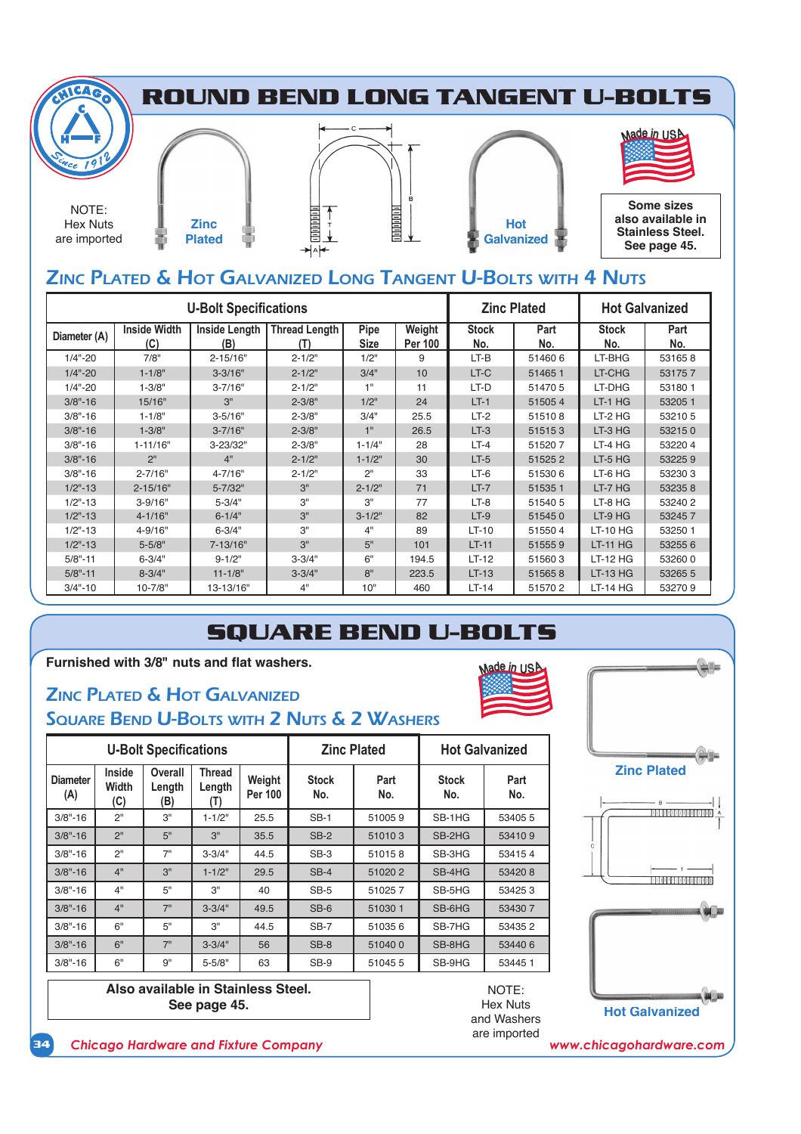

## ZINC PLATED & HOT GALVANIZED LONG TANGENT U-BOLTS WITH 4 NUTS

|              |                            | <b>U-Bolt Specifications</b> | <b>Zinc Plated</b>          |                     | <b>Hot Galvanized</b>    |                     |             |                     |             |
|--------------|----------------------------|------------------------------|-----------------------------|---------------------|--------------------------|---------------------|-------------|---------------------|-------------|
| Diameter (A) | <b>Inside Width</b><br>(C) | <b>Inside Length</b><br>(B)  | <b>Thread Length</b><br>(T) | Pipe<br><b>Size</b> | Weight<br><b>Per 100</b> | <b>Stock</b><br>No. | Part<br>No. | <b>Stock</b><br>No. | Part<br>No. |
| $1/4" - 20$  | 7/8"                       | $2 - 15/16"$                 | $2 - 1/2"$                  | 1/2"                | 9                        | $LT-B$              | 514606      | LT-BHG              | 531658      |
| $1/4" - 20$  | $1 - 1/8"$                 | $3 - 3/16"$                  | $2 - 1/2"$                  | 3/4"                | 10                       | LT-C                | 514651      | LT-CHG              | 531757      |
| $1/4" - 20$  | $1 - 3/8"$                 | $3 - 7/16"$                  | $2 - 1/2"$                  | 1"                  | 11                       | LT-D                | 514705      | LT-DHG              | 531801      |
| $3/8" - 16$  | 15/16"                     | 3"                           | $2 - 3/8"$                  | 1/2"                | 24                       | $LT-1$              | 515054      | $LT-1$ HG           | 53205 1     |
| $3/8" - 16$  | $1 - 1/8"$                 | $3 - 5/16"$                  | $2 - 3/8"$                  | 3/4"                | 25.5                     | $LT-2$              | 515108      | LT-2 HG             | 53210 5     |
| $3/8" - 16$  | $1 - 3/8"$                 | $3 - 7/16"$                  | $2 - 3/8"$                  | 1"                  | 26.5                     | $LT-3$              | 515153      | LT-3 HG             | 532150      |
| $3/8" - 16$  | $1 - 11/16"$               | 3-23/32"                     | $2 - 3/8"$                  | $1 - 1/4"$          | 28                       | $LT-4$              | 515207      | LT-4 HG             | 532204      |
| $3/8" - 16$  | 2 <sup>n</sup>             | 4"                           | $2 - 1/2"$                  | $1 - 1/2"$          | 30                       | $LT-5$              | 515252      | $LT-5$ HG           | 532259      |
| $3/8" - 16$  | $2 - 7/16"$                | 4-7/16"                      | $2 - 1/2"$                  | 2"                  | 33                       | $LT-6$              | 515306      | LT-6 HG             | 532303      |
| $1/2" - 13$  | $2 - 15/16"$               | $5 - 7/32"$                  | 3"                          | $2 - 1/2"$          | 71                       | $LT-7$              | 515351      | LT-7 HG             | 532358      |
| $1/2" - 13$  | $3 - 9/16"$                | $5 - 3/4"$                   | 3"                          | 3"                  | 77                       | $LT-8$              | 515405      | LT-8 HG             | 53240 2     |
| $1/2" - 13$  | $4 - 1/16"$                | $6 - 1/4"$                   | 3"                          | $3 - 1/2"$          | 82                       | $LT-9$              | 515450      | $LT-9$ HG           | 532457      |
| $1/2" - 13$  | 4-9/16"                    | $6 - 3/4"$                   | 3"                          | 4"                  | 89                       | $LT-10$             | 515504      | $LT-10$ HG          | 53250 1     |
| $1/2" - 13$  | $5 - 5/8"$                 | 7-13/16"                     | 3"                          | 5"                  | 101                      | $LT-11$             | 515559      | <b>LT-11 HG</b>     | 532556      |
| $5/8" - 11$  | $6 - 3/4"$                 | $9 - 1/2"$                   | $3 - 3/4"$                  | 6"                  | 194.5                    | $LT-12$             | 515603      | $LT-12$ HG          | 532600      |
| $5/8" - 11$  | $8 - 3/4"$                 | $11 - 1/8"$                  | $3 - 3/4"$                  | 8"                  | 223.5                    | $LT-13$             | 515658      | <b>LT-13 HG</b>     | 53265 5     |
| $3/4" - 10$  | 10-7/8"                    | 13-13/16"                    | 4"                          | 10"                 | 460                      | $LT-14$             | 515702      | <b>LT-14 HG</b>     | 532709      |

# **SQUARE BEND U-BOLTS**

#### Furnished with 3/8" nuts and flat washers.

# ZINC PLATED & HOT GALVANIZED

### SQUARE BEND U-BOLTS WITH 2 NUTS & 2 WASHERS

|                        |                               | <b>U-Bolt Specifications</b> |                                  |                          |                     | <b>Zinc Plated</b> | <b>Hot Galvanized</b> |             |  |
|------------------------|-------------------------------|------------------------------|----------------------------------|--------------------------|---------------------|--------------------|-----------------------|-------------|--|
| <b>Diameter</b><br>(A) | <b>Inside</b><br>Width<br>(C) | Overall<br>Length<br>(B)     | <b>Thread</b><br>Length<br>( I ) | Weight<br><b>Per 100</b> | <b>Stock</b><br>No. | Part<br>No.        | <b>Stock</b><br>No.   | Part<br>No. |  |
| $3/8" - 16$            | 2"                            | 3"                           | $1 - 1/2"$                       | 25.5                     | $SB-1$              | 510059             | SB-1HG                | 53405 5     |  |
| $3/8" - 16$            | 2"                            | 5"                           | 3"                               | 35.5                     | $SB-2$              | 510103             | SB-2HG                | 534109      |  |
| $3/8" - 16$            | 2"                            | 7"                           | $3 - 3/4"$                       | 44.5                     | $SB-3$              | 510158             | SB-3HG                | 534154      |  |
| $3/8" - 16$            | 4"                            | 3"                           | $1 - 1/2"$                       | 29.5                     | $SB-4$              | 510202             | SB-4HG                | 534208      |  |
| $3/8" - 16$            | 4"                            | 5"                           | 3"                               | 40                       | $SB-5$              | 510257             | SB-5HG                | 534253      |  |
| $3/8" - 16$            | 4"                            | 7"                           | $3 - 3/4"$                       | 49.5                     | $SB-6$              | 510301             | SB-6HG                | 534307      |  |
| $3/8" - 16$            | 6"                            | 5"                           | 3"                               | 44.5                     | $SB-7$              | 510356             | SB-7HG                | 534352      |  |
| $3/8" - 16$            | 6"                            | 7"                           | $3 - 3/4"$                       | 56                       | $SB-8$              | 510400             | SB-8HG                | 534406      |  |
| $3/8" - 16$            | 6"                            | 9"                           | $5 - 5/8"$                       | 63                       | SB-9                | 510455             | SB-9HG                | 534451      |  |

**Also available in Stainless Steel.**  See page 45.



NOTE: Hex Nuts and Washers are imported



tolle

**34** *Chicago Hardware and Fixture Company www.chicagohardware.com*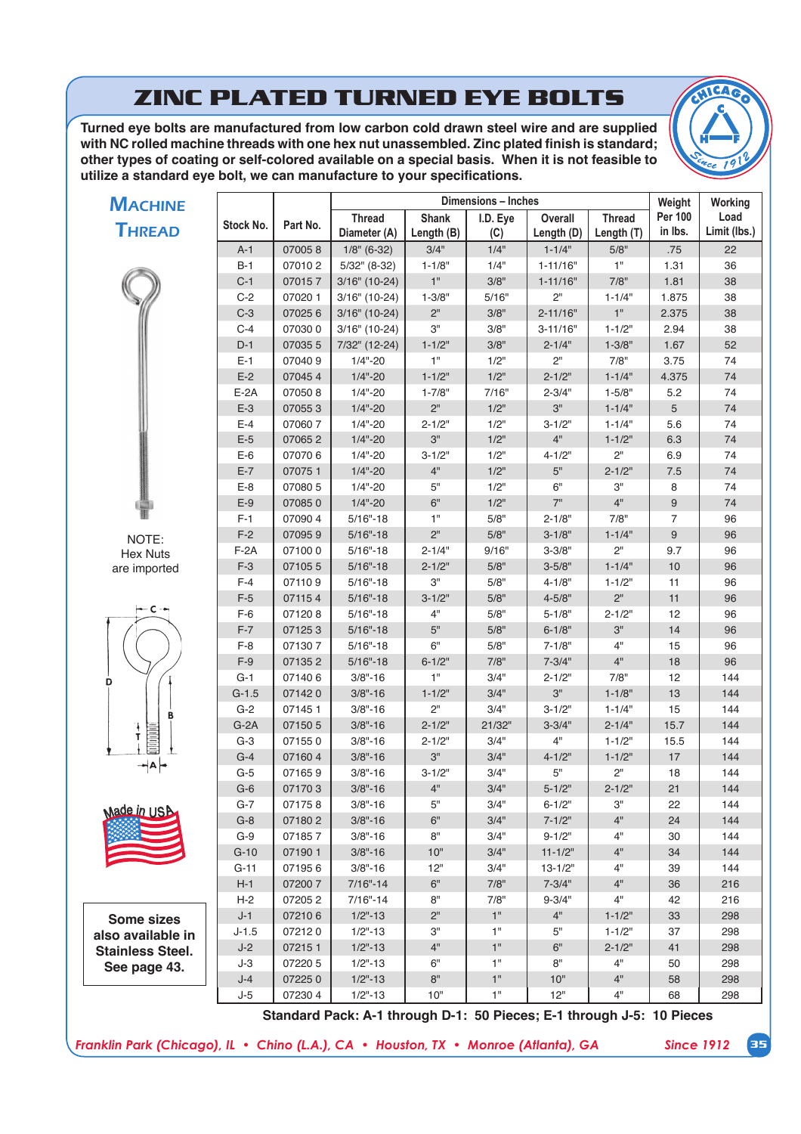# **ZINC PLATED TURNED EYE BOLTS**

Turned eye bolts are manufactured from low carbon cold drawn steel wire and are supplied with NC rolled machine threads with one hex nut unassembled. Zinc plated finish is standard; other types of coating or self-colored available on a special basis. When it is not feasible to utilize a standard eye bolt, we can manufacture to your specifications.



| <b>MACHINE</b>          |                 |                  |                            |                              | Dimensions - Inches |                            |               | Weight         | Working      |
|-------------------------|-----------------|------------------|----------------------------|------------------------------|---------------------|----------------------------|---------------|----------------|--------------|
| <b>THREAD</b>           | Stock No.       | Part No.         | <b>Thread</b>              | <b>Shank</b>                 | I.D. Eye            | Overall                    | <b>Thread</b> | <b>Per 100</b> | Load         |
|                         |                 |                  | Diameter (A)               | Length (B)                   | (C)                 | Length (D)                 | Length (T)    | in Ibs.        | Limit (lbs.) |
|                         | $A-1$           | 070058           | $1/8$ " (6-32)             | 3/4"                         | 1/4"                | $1 - 1/4"$                 | 5/8"          | .75            | 22           |
|                         | $B-1$           | 070102           | 5/32" (8-32)               | $1 - 1/8"$<br>$1"$           | 1/4"                | $1 - 11/16"$               | 1"            | 1.31           | 36           |
|                         | $C-1$           | 070157           | $3/16"$ (10-24)            |                              | 3/8"                | $1 - 11/16"$               | 7/8"          | 1.81           | 38           |
|                         | $C-2$           | 07020 1          | $3/16"$ (10-24)            | $1 - 3/8"$                   | 5/16"               | 2"                         | $1 - 1/4"$    | 1.875          | 38           |
|                         | $C-3$           | 070256           | $3/16"$ (10-24)            | $2"$                         | 3/8"                | $2 - 11/16"$               | $1"$          | 2.375          | 38           |
|                         | $C-4$           | 070300           | $3/16"$ (10-24)            | 3"                           | 3/8"                | $3 - 11/16"$               | $1 - 1/2"$    | 2.94           | 38           |
|                         | $D-1$           | 070355           | 7/32" (12-24)              | $1 - 1/2$ "<br>1"            | 3/8"                | $2 - 1/4"$                 | $1 - 3/8"$    | 1.67           | 52           |
|                         | $E-1$<br>$E-2$  | 070409           | $1/4" - 20$                |                              | 1/2"                | 2"                         | 7/8"          | 3.75           | 74           |
|                         |                 | 070454           | $1/4" - 20$                | $1 - 1/2"$                   | $1/2$ "             | $2 - 1/2"$                 | $1 - 1/4"$    | 4.375          | 74           |
|                         | $E-2A$          | 070508           | $1/4" - 20$                | $1 - 7/8"$<br>2 <sup>n</sup> | 7/16"               | $2 - 3/4"$                 | $1 - 5/8"$    | 5.2            | 74           |
|                         | $E-3$           | 070553           | $1/4" - 20$                |                              | 1/2"                | $3"$                       | $1 - 1/4"$    | 5              | 74           |
|                         | $E-4$           | 070607           | $1/4" - 20$                | $2 - 1/2"$<br>3"             | 1/2"                | $3 - 1/2"$<br>4"           | $1 - 1/4"$    | 5.6            | 74           |
|                         | $E-5$           | 070652           | $1/4" - 20$                |                              | 1/2"                |                            | $1 - 1/2"$    | 6.3            | 74           |
|                         | $E-6$           | 070706           | $1/4" - 20$                | $3 - 1/2"$                   | 1/2"                | $4 - 1/2"$                 | 2"            | 6.9            | 74           |
|                         | $E-7$           | 070751           | $1/4" - 20$                | 4"<br>5"                     | 1/2"                | $5"$                       | $2 - 1/2"$    | 7.5            | 74           |
|                         | $E-8$           | 07080 5          | $1/4" - 20$                |                              | 1/2"                | 6"                         | З"            | 8              | 74           |
|                         | $E-9$           | 070850           | $1/4" - 20$                | 6"                           | 1/2"                | 7"                         | 4"            | 9              | 74           |
|                         | $F-1$           | 070904           | $5/16" - 18$               | 1"                           | 5/8"                | $2 - 1/8"$                 | 7/8"          | $\overline{7}$ | 96           |
| NOTE:                   | $F-2$           | 070959           | $5/16" - 18$               | 2"                           | 5/8"                | $3 - 1/8"$                 | $1 - 1/4"$    | 9              | 96           |
| <b>Hex Nuts</b>         | $F-2A$          | 071000           | $5/16" - 18$               | $2 - 1/4"$                   | 9/16"               | $3 - 3/8"$                 | 2"            | 9.7            | 96           |
| are imported            | $F-3$           | 071055           | $5/16" - 18$               | $2 - 1/2"$                   | 5/8"                | $3 - 5/8"$                 | $1 - 1/4"$    | 10             | 96           |
|                         | $F-4$           | 071109           | $5/16" - 18$               | 3"                           | 5/8"                | $4 - 1/8"$                 | $1 - 1/2"$    | 11             | 96           |
| — C -⊷                  | $F-5$           | 071154           | $5/16" - 18$               | $3 - 1/2"$                   | 5/8"                | $4 - 5/8"$                 | 2"            | 11             | 96           |
|                         | $F-6$           | 071208           | $5/16" - 18$               | 4"                           | 5/8"                | $5 - 1/8"$                 | $2 - 1/2"$    | 12             | 96           |
|                         | $F-7$           | 071253           | $5/16" - 18$               | 5"                           | 5/8"                | $6 - 1/8"$                 | 3"            | 14             | 96           |
|                         | $F-8$           | 071307           | $5/16" - 18$               | 6"                           | 5/8"                | $7 - 1/8"$                 | 4"            | 15             | 96           |
|                         | $F-9$           | 071352           | $5/16" - 18$               | $6 - 1/2"$                   | 7/8"                | $7 - 3/4"$                 | 4"            | 18             | 96           |
| D                       | $G-1$           | 071406           | $3/8" - 16$                | 1"                           | 3/4"                | $2 - 1/2"$                 | 7/8"          | 12             | 144          |
|                         | $G-1.5$         | 071420           | $3/8" - 16$                | $1 - 1/2"$                   | 3/4"                | 3"                         | $1 - 1/8"$    | 13             | 144          |
| B                       | $G-2$           | 071451           | $3/8" - 16$                | 2"                           | 3/4"                | $3 - 1/2"$                 | $1 - 1/4"$    | 15             | 144          |
| Ŧ<br>Т                  | $G-2A$          | 071505           | $3/8" - 16$                | $2 - 1/2"$                   | 21/32"              | $3 - 3/4"$                 | $2 - 1/4"$    | 15.7           | 144          |
|                         | $G-3$           | 071550           | $3/8" - 16$                | $2 - 1/2"$<br>3"             | 3/4"                | 4"                         | $1 - 1/2"$    | 15.5           | 144          |
| $\neg A \vdash$         | $G-4$           | 071604           | $3/8" - 16$                |                              | 3/4"                | $4 - 1/2"$                 | $1 - 1/2"$    | 17             | 144          |
|                         | $G-5$           | 071659           | $3/8" - 16$                | $3 - 1/2"$                   | 3/4"                | 5"                         | 2"            | 18             | 144          |
|                         | $G-6$           | 071703           | $3/8" - 16$                | 4"                           | 3/4"                | $5 - 1/2"$                 | $2 - 1/2"$    | 21             | 144          |
| wade in USB             | G-7<br>$G-8$    | 071758           | $3/8" - 16$                | 5"<br>6"                     | 3/4"<br>3/4"        | $6 - 1/2"$                 | З"<br>4"      | 22             | 144          |
|                         | $G-9$           | 071802<br>071857 | $3/8" - 16$                | 8"                           | 3/4"                | $7 - 1/2"$<br>$9 - 1/2"$   | 4"            | 24             | 144          |
|                         |                 |                  | $3/8" - 16$                | 10"                          | 3/4"                |                            | 4"            | 30<br>34       | 144<br>144   |
|                         | $G-10$          | 071901<br>071956 | $3/8" - 16$<br>$3/8" - 16$ | 12"                          | 3/4"                | $11 - 1/2"$<br>$13 - 1/2"$ | 4"            | 39             |              |
|                         | $G-11$<br>$H-1$ | 072007           | $7/16" - 14$               | 6"                           | 7/8"                | $7 - 3/4"$                 | 4"            |                | 144          |
|                         | $H-2$           | 072052           | $7/16" - 14$               | 8"                           | 7/8"                | $9 - 3/4"$                 | 4"            | 36<br>42       | 216<br>216   |
|                         | J-1             | 072106           | $1/2" - 13$                | 2"                           | 1"                  | 4"                         | $1 - 1/2"$    | 33             | 298          |
| <b>Some sizes</b>       | $J-1.5$         | 072120           | $1/2" - 13$                | 3"                           | 1"                  | 5"                         | $1 - 1/2"$    | 37             | 298          |
| also available in       | $J-2$           | 072151           | $1/2" - 13$                | 4"                           | 1"                  | 6"                         | $2 - 1/2"$    | 41             | 298          |
| <b>Stainless Steel.</b> | J-3             | 07220 5          | $1/2" - 13$                | 6"                           | 1"                  | 8"                         | 4"            | 50             | 298          |
| See page 43.            | J-4             | 072250           | $1/2" - 13$                | 8"                           | 1"                  | 10"                        | 4"            | 58             | 298          |
|                         | $J-5$           | 072304           | $1/2" - 13$                | 10"                          | 1"                  | 12"                        | 4"            | 68             | 298          |